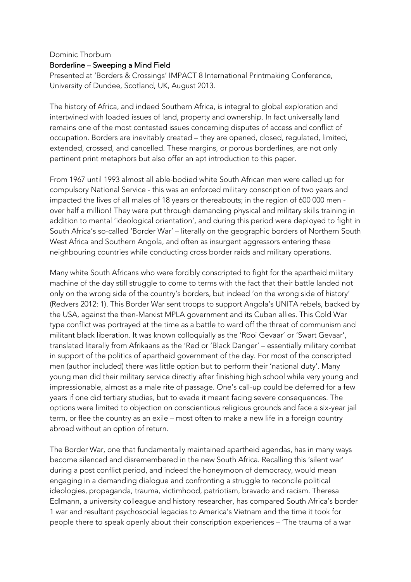## Dominic Thorburn Borderline – Sweeping a Mind Field

Presented at 'Borders & Crossings' IMPACT 8 International Printmaking Conference, University of Dundee, Scotland, UK, August 2013.

The history of Africa, and indeed Southern Africa, is integral to global exploration and intertwined with loaded issues of land, property and ownership. In fact universally land remains one of the most contested issues concerning disputes of access and conflict of occupation. Borders are inevitably created – they are opened, closed, regulated, limited, extended, crossed, and cancelled. These margins, or porous borderlines, are not only pertinent print metaphors but also offer an apt introduction to this paper.

From 1967 until 1993 almost all able-bodied white South African men were called up for compulsory National Service - this was an enforced military conscription of two years and impacted the lives of all males of 18 years or thereabouts; in the region of 600 000 men over half a million! They were put through demanding physical and military skills training in addition to mental 'ideological orientation', and during this period were deployed to fight in South Africa's so-called 'Border War' – literally on the geographic borders of Northern South West Africa and Southern Angola, and often as insurgent aggressors entering these neighbouring countries while conducting cross border raids and military operations.

Many white South Africans who were forcibly conscripted to fight for the apartheid military machine of the day still struggle to come to terms with the fact that their battle landed not only on the wrong side of the country's borders, but indeed 'on the wrong side of history' (Redvers 2012: 1). This Border War sent troops to support Angola's UNITA rebels, backed by the USA, against the then-Marxist MPLA government and its Cuban allies. This Cold War type conflict was portrayed at the time as a battle to ward off the threat of communism and militant black liberation. It was known colloquially as the 'Rooi Gevaar' or 'Swart Gevaar', translated literally from Afrikaans as the 'Red or 'Black Danger' – essentially military combat in support of the politics of apartheid government of the day. For most of the conscripted men (author included) there was little option but to perform their 'national duty'. Many young men did their military service directly after finishing high school while very young and impressionable, almost as a male rite of passage. One's call-up could be deferred for a few years if one did tertiary studies, but to evade it meant facing severe consequences. The options were limited to objection on conscientious religious grounds and face a six-year jail term, or flee the country as an exile – most often to make a new life in a foreign country abroad without an option of return.

The Border War, one that fundamentally maintained apartheid agendas, has in many ways become silenced and disremembered in the new South Africa. Recalling this 'silent war' during a post conflict period, and indeed the honeymoon of democracy, would mean engaging in a demanding dialogue and confronting a struggle to reconcile political ideologies, propaganda, trauma, victimhood, patriotism, bravado and racism. Theresa Edlmann, a university colleague and history researcher, has compared South Africa's border 1 war and resultant psychosocial legacies to America's Vietnam and the time it took for people there to speak openly about their conscription experiences – 'The trauma of a war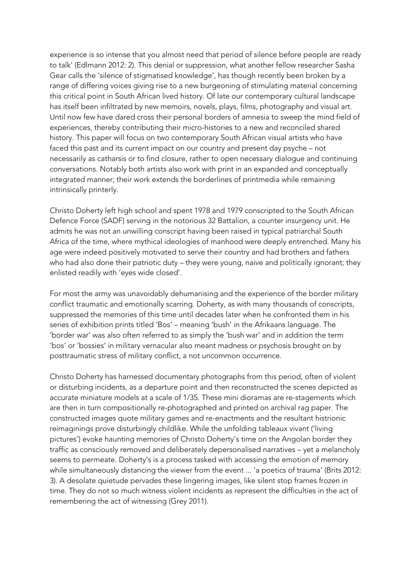experience is so intense that you almost need that period of silence before people are ready to talk' (Edlmann 2012: 2). This denial or suppression, what another fellow researcher Sasha Gear calls the 'silence of stigmatised knowledge', has though recently been broken by a range of differing voices giving rise to a new burgeoning of stimulating material concerning this critical point in South African lived history. Of late our contemporary cultural landscape has itself been infiltrated by new memoirs, novels, plays, films, photography and visual art. Until now few have dared cross their personal borders of amnesia to sweep the mind field of experiences, thereby contributing their micro-histories to a new and reconciled shared history. This paper will focus on two contemporary South African visual artists who have faced this past and its current impact on our country and present day psyche – not necessarily as catharsis or to find closure, rather to open necessary dialogue and continuing conversations. Notably both artists also work with print in an expanded and conceptually integrated manner; their work extends the borderlines of printmedia while remaining intrinsically printerly.

Christo Doherty left high school and spent 1978 and 1979 conscripted to the South African Defence Force (SADF) serving in the notorious 32 Battalion, a counter insurgency unit. He admits he was not an unwilling conscript having been raised in typical patriarchal South Africa of the time, where mythical ideologies of manhood were deeply entrenched. Many his age were indeed positively motivated to serve their country and had brothers and fathers who had also done their patriotic duty – they were young, naive and politically ignorant; they enlisted readily with 'eyes wide closed'.

For most the army was unavoidably dehumanising and the experience of the border military conflict traumatic and emotionally scarring. Doherty, as with many thousands of conscripts, suppressed the memories of this time until decades later when he confronted them in his series of exhibition prints titled 'Bos' – meaning 'bush' in the Afrikaans language. The 'border war' was also often referred to as simply the 'bush war' and in addition the term 'bos' or 'bossies' in military vernacular also meant madness or psychosis brought on by posttraumatic stress of military conflict, a not uncommon occurrence.

Christo Doherty has harnessed documentary photographs from this period, often of violent or disturbing incidents, as a departure point and then reconstructed the scenes depicted as accurate miniature models at a scale of 1/35. These mini dioramas are re-stagements which are then in turn compositionally re-photographed and printed on archival rag paper. The constructed images quote military games and re-enactments and the resultant histrionic reimaginings prove disturbingly childlike. While the unfolding tableaux vivant ('living pictures') evoke haunting memories of Christo Doherty's time on the Angolan border they traffic as consciously removed and deliberately depersonalised narratives – yet a melancholy seems to permeate. Doherty's is a process tasked with accessing the emotion of memory while simultaneously distancing the viewer from the event ... 'a poetics of trauma' (Brits 2012: 3). A desolate quietude pervades these lingering images, like silent stop frames frozen in time. They do not so much witness violent incidents as represent the difficulties in the act of remembering the act of witnessing (Grey 2011).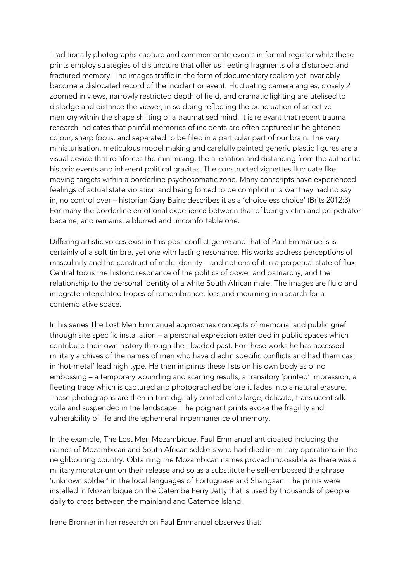Traditionally photographs capture and commemorate events in formal register while these prints employ strategies of disjuncture that offer us fleeting fragments of a disturbed and fractured memory. The images traffic in the form of documentary realism yet invariably become a dislocated record of the incident or event. Fluctuating camera angles, closely 2 zoomed in views, narrowly restricted depth of field, and dramatic lighting are utelised to dislodge and distance the viewer, in so doing reflecting the punctuation of selective memory within the shape shifting of a traumatised mind. It is relevant that recent trauma research indicates that painful memories of incidents are often captured in heightened colour, sharp focus, and separated to be filed in a particular part of our brain. The very miniaturisation, meticulous model making and carefully painted generic plastic figures are a visual device that reinforces the minimising, the alienation and distancing from the authentic historic events and inherent political gravitas. The constructed vignettes fluctuate like moving targets within a borderline psychosomatic zone. Many conscripts have experienced feelings of actual state violation and being forced to be complicit in a war they had no say in, no control over – historian Gary Bains describes it as a 'choiceless choice' (Brits 2012:3) For many the borderline emotional experience between that of being victim and perpetrator became, and remains, a blurred and uncomfortable one.

Differing artistic voices exist in this post-conflict genre and that of Paul Emmanuel's is certainly of a soft timbre, yet one with lasting resonance. His works address perceptions of masculinity and the construct of male identity – and notions of it in a perpetual state of flux. Central too is the historic resonance of the politics of power and patriarchy, and the relationship to the personal identity of a white South African male. The images are fluid and integrate interrelated tropes of remembrance, loss and mourning in a search for a contemplative space.

In his series The Lost Men Emmanuel approaches concepts of memorial and public grief through site specific installation – a personal expression extended in public spaces which contribute their own history through their loaded past. For these works he has accessed military archives of the names of men who have died in specific conflicts and had them cast in 'hot-metal' lead high type. He then imprints these lists on his own body as blind embossing – a temporary wounding and scarring results, a transitory 'printed' impression, a fleeting trace which is captured and photographed before it fades into a natural erasure. These photographs are then in turn digitally printed onto large, delicate, translucent silk voile and suspended in the landscape. The poignant prints evoke the fragility and vulnerability of life and the ephemeral impermanence of memory.

In the example, The Lost Men Mozambique, Paul Emmanuel anticipated including the names of Mozambican and South African soldiers who had died in military operations in the neighbouring country. Obtaining the Mozambican names proved impossible as there was a military moratorium on their release and so as a substitute he self-embossed the phrase 'unknown soldier' in the local languages of Portuguese and Shangaan. The prints were installed in Mozambique on the Catembe Ferry Jetty that is used by thousands of people daily to cross between the mainland and Catembe Island.

Irene Bronner in her research on Paul Emmanuel observes that: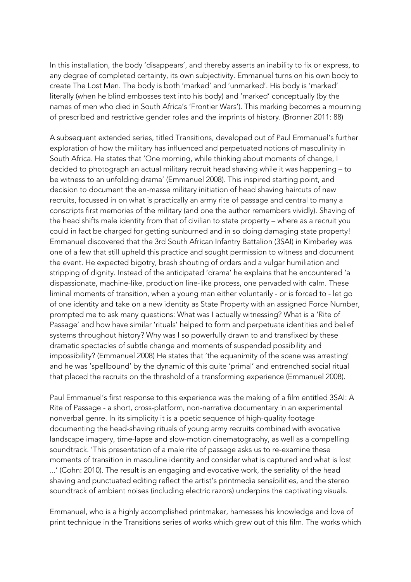In this installation, the body 'disappears', and thereby asserts an inability to fix or express, to any degree of completed certainty, its own subjectivity. Emmanuel turns on his own body to create The Lost Men. The body is both 'marked' and 'unmarked'. His body is 'marked' literally (when he blind embosses text into his body) and 'marked' conceptually (by the names of men who died in South Africa's 'Frontier Wars'). This marking becomes a mourning of prescribed and restrictive gender roles and the imprints of history. (Bronner 2011: 88)

A subsequent extended series, titled Transitions, developed out of Paul Emmanuel's further exploration of how the military has influenced and perpetuated notions of masculinity in South Africa. He states that 'One morning, while thinking about moments of change, I decided to photograph an actual military recruit head shaving while it was happening – to be witness to an unfolding drama' (Emmanuel 2008). This inspired starting point, and decision to document the en-masse military initiation of head shaving haircuts of new recruits, focussed in on what is practically an army rite of passage and central to many a conscripts first memories of the military (and one the author remembers vividly). Shaving of the head shifts male identity from that of civilian to state property – where as a recruit you could in fact be charged for getting sunburned and in so doing damaging state property! Emmanuel discovered that the 3rd South African Infantry Battalion (3SAI) in Kimberley was one of a few that still upheld this practice and sought permission to witness and document the event. He expected bigotry, brash shouting of orders and a vulgar humiliation and stripping of dignity. Instead of the anticipated 'drama' he explains that he encountered 'a dispassionate, machine-like, production line-like process, one pervaded with calm. These liminal moments of transition, when a young man either voluntarily - or is forced to - let go of one identity and take on a new identity as State Property with an assigned Force Number, prompted me to ask many questions: What was I actually witnessing? What is a 'Rite of Passage' and how have similar 'rituals' helped to form and perpetuate identities and belief systems throughout history? Why was I so powerfully drawn to and transfixed by these dramatic spectacles of subtle change and moments of suspended possibility and impossibility? (Emmanuel 2008) He states that 'the equanimity of the scene was arresting' and he was 'spellbound' by the dynamic of this quite 'primal' and entrenched social ritual that placed the recruits on the threshold of a transforming experience (Emmanuel 2008).

Paul Emmanuel's first response to this experience was the making of a film entitled 3SAI: A Rite of Passage - a short, cross-platform, non-narrative documentary in an experimental nonverbal genre. In its simplicity it is a poetic sequence of high-quality footage documenting the head-shaving rituals of young army recruits combined with evocative landscape imagery, time-lapse and slow-motion cinematography, as well as a compelling soundtrack. 'This presentation of a male rite of passage asks us to re-examine these moments of transition in masculine identity and consider what is captured and what is lost ...' (Cohn: 2010). The result is an engaging and evocative work, the seriality of the head shaving and punctuated editing reflect the artist's printmedia sensibilities, and the stereo soundtrack of ambient noises (including electric razors) underpins the captivating visuals.

Emmanuel, who is a highly accomplished printmaker, harnesses his knowledge and love of print technique in the Transitions series of works which grew out of this film. The works which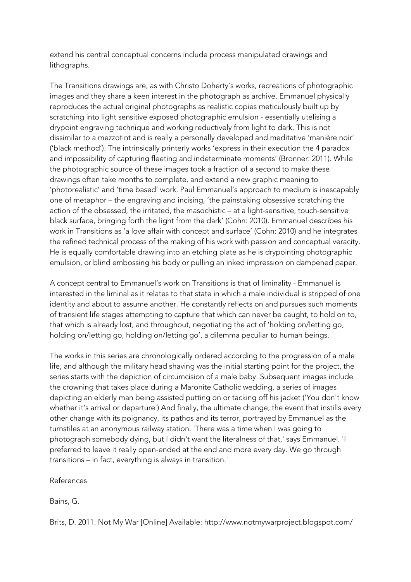extend his central conceptual concerns include process manipulated drawings and lithographs.

The Transitions drawings are, as with Christo Doherty's works, recreations of photographic images and they share a keen interest in the photograph as archive. Emmanuel physically reproduces the actual original photographs as realistic copies meticulously built up by scratching into light sensitive exposed photographic emulsion - essentially utelising a drypoint engraving technique and working reductively from light to dark. This is not dissimilar to a mezzotint and is really a personally developed and meditative 'manière noir' ('black method'). The intrinsically printerly works 'express in their execution the 4 paradox and impossibility of capturing fleeting and indeterminate moments' (Bronner: 2011). While the photographic source of these images took a fraction of a second to make these drawings often take months to complete, and extend a new graphic meaning to 'photorealistic' and 'time based' work. Paul Emmanuel's approach to medium is inescapably one of metaphor – the engraving and incising, 'the painstaking obsessive scratching the action of the obsessed, the irritated, the masochistic – at a light-sensitive, touch-sensitive black surface, bringing forth the light from the dark' (Cohn: 2010). Emmanuel describes his work in Transitions as 'a love affair with concept and surface' (Cohn: 2010) and he integrates the refined technical process of the making of his work with passion and conceptual veracity. He is equally comfortable drawing into an etching plate as he is drypointing photographic emulsion, or blind embossing his body or pulling an inked impression on dampened paper.

A concept central to Emmanuel's work on Transitions is that of liminality - Emmanuel is interested in the liminal as it relates to that state in which a male individual is stripped of one identity and about to assume another. He constantly reflects on and pursues such moments of transient life stages attempting to capture that which can never be caught, to hold on to, that which is already lost, and throughout, negotiating the act of 'holding on/letting go, holding on/letting go, holding on/letting go', a dilemma peculiar to human beings.

The works in this series are chronologically ordered according to the progression of a male life, and although the military head shaving was the initial starting point for the project, the series starts with the depiction of circumcision of a male baby. Subsequent images include the crowning that takes place during a Maronite Catholic wedding, a series of images depicting an elderly man being assisted putting on or tacking off his jacket ('You don't know whether it's arrival or departure') And finally, the ultimate change, the event that instills every other change with its poignancy, its pathos and its terror, portrayed by Emmanuel as the turnstiles at an anonymous railway station. 'There was a time when I was going to photograph somebody dying, but I didn't want the literalness of that,' says Emmanuel. 'I preferred to leave it really open-ended at the end and more every day. We go through transitions – in fact, everything is always in transition.'

References

Bains, G.

Brits, D. 2011. Not My War [Online] Available: http://www.notmywarproject.blogspot.com/